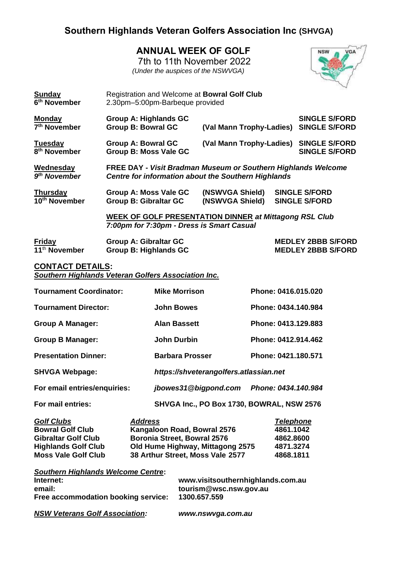## **Southern Highlands Veteran Golfers Association Inc (SHVGA)**

## **ANNUAL WEEK OF GOLF**

 7th to 11th November 2022 *(Under the auspices of the NSWVGA)*



| <b>Sunday</b><br>6 <sup>th</sup> November  | Registration and Welcome at <b>Bowral Golf Club</b><br>2.30pm-5:00pm-Barbeque provided                                             |                                        |  |                                                        |  |
|--------------------------------------------|------------------------------------------------------------------------------------------------------------------------------------|----------------------------------------|--|--------------------------------------------------------|--|
| <b>Monday</b><br>7 <sup>th</sup> November  | Group A: Highlands GC<br><b>Group B: Bowral GC</b>                                                                                 | (Val Mann Trophy-Ladies)               |  | <b>SINGLE S/FORD</b><br><b>SINGLE S/FORD</b>           |  |
| <b>Tuesday</b><br>8 <sup>th</sup> November | <b>Group A: Bowral GC</b><br><b>Group B: Moss Vale GC</b>                                                                          | (Val Mann Trophy-Ladies) SINGLE S/FORD |  | <b>SINGLE S/FORD</b>                                   |  |
| Wednesday<br>9 <sup>th</sup> November      | <b>FREE DAY - Visit Bradman Museum or Southern Highlands Welcome</b><br><b>Centre for information about the Southern Highlands</b> |                                        |  |                                                        |  |
| <b>Thursday</b><br>10th November           | Group A: Moss Vale GC<br><b>Group B: Gibraltar GC</b>                                                                              | (NSWVGA Shield)<br>(NSWVGA Shield)     |  | <b>SINGLE S/FORD</b><br><b>SINGLE S/FORD</b>           |  |
|                                            | <b>WEEK OF GOLF PRESENTATION DINNER at Mittagong RSL Club</b><br>7:00pm for 7:30pm - Dress is Smart Casual                         |                                        |  |                                                        |  |
| <b>Friday</b><br>11 <sup>th</sup> November | <b>Group A: Gibraltar GC</b><br><b>Group B: Highlands GC</b>                                                                       |                                        |  | <b>MEDLEY 2BBB S/FORD</b><br><b>MEDLEY 2BBB S/FORD</b> |  |
| <b>CONTACT DETAILS:</b>                    | <b>Southern Highlands Veteran Golfers Association Inc.</b>                                                                         |                                        |  |                                                        |  |

| <b>Tournament Coordinator:</b>                                                                                                         | <b>Mike Morrison</b>                                                                                                                                 | Phone: 0416.015.020                                                  |  |  |  |  |
|----------------------------------------------------------------------------------------------------------------------------------------|------------------------------------------------------------------------------------------------------------------------------------------------------|----------------------------------------------------------------------|--|--|--|--|
| <b>Tournament Director:</b>                                                                                                            | <b>John Bowes</b>                                                                                                                                    | Phone: 0434.140.984                                                  |  |  |  |  |
| <b>Group A Manager:</b>                                                                                                                | <b>Alan Bassett</b>                                                                                                                                  | Phone: 0413.129.883                                                  |  |  |  |  |
| <b>Group B Manager:</b>                                                                                                                | <b>John Durbin</b>                                                                                                                                   | Phone: 0412.914.462                                                  |  |  |  |  |
| <b>Presentation Dinner:</b>                                                                                                            | <b>Barbara Prosser</b>                                                                                                                               | Phone: 0421.180.571                                                  |  |  |  |  |
| <b>SHVGA Webpage:</b>                                                                                                                  |                                                                                                                                                      | https://shveterangolfers.atlassian.net                               |  |  |  |  |
| For email entries/enquiries:                                                                                                           | jbowes31@bigpond.com                                                                                                                                 | Phone: 0434.140.984                                                  |  |  |  |  |
| For mail entries:                                                                                                                      |                                                                                                                                                      | SHVGA Inc., PO Box 1730, BOWRAL, NSW 2576                            |  |  |  |  |
| <b>Golf Clubs</b><br><b>Bowral Golf Club</b><br><b>Gibraltar Golf Club</b><br><b>Highlands Golf Club</b><br><b>Moss Vale Golf Club</b> | Address<br>Kangaloon Road, Bowral 2576<br><b>Boronia Street, Bowral 2576</b><br>Old Hume Highway, Mittagong 2575<br>38 Arthur Street, Moss Vale 2577 | <b>Telephone</b><br>4861.1042<br>4862.8600<br>4871.3274<br>4868.1811 |  |  |  |  |
| <b>Southern Highlands Welcome Centre:</b>                                                                                              |                                                                                                                                                      |                                                                      |  |  |  |  |

| <b>Supering Indinalids Welcome Centre.</b> |                                                                             |  |  |
|--------------------------------------------|-----------------------------------------------------------------------------|--|--|
| Internet:<br>email:                        | www.visitsouthernhighlands.com.au<br>tourism@wsc.nsw.gov.au<br>1300.657.559 |  |  |
| Free accommodation booking service:        |                                                                             |  |  |
| <b>NSW Veterans Golf Association:</b>      | www.nswvga.com.au                                                           |  |  |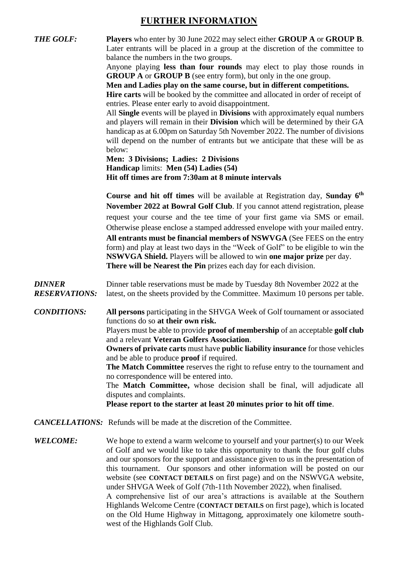### **FURTHER INFORMATION**

*THE GOLF:* **Players** who enter by 30 June 2022 may select either **GROUP A** or **GROUP B**. Later entrants will be placed in a group at the discretion of the committee to balance the numbers in the two groups. Anyone playing **less than four rounds** may elect to play those rounds in **GROUP A** or **GROUP B** (see entry form), but only in the one group. **Men and Ladies play on the same course, but in different competitions. Hire carts** will be booked by the committee and allocated in order of receipt of entries. Please enter early to avoid disappointment. All **Single** events will be played in **Divisions** with approximately equal numbers and players will remain in their **Division** which will be determined by their GA handicap as at 6.00pm on Saturday 5th November 2022. The number of divisions will depend on the number of entrants but we anticipate that these will be as below: **Men: 3 Divisions; Ladies: 2 Divisions Handicap** limits: **Men (54) Ladies (54) Hit off times are from 7:30am at 8 minute intervals Course and hit off times** will be available at Registration day, **Sunday 6 th November 2022 at Bowral Golf Club**. If you cannot attend registration, please request your course and the tee time of your first game via SMS or email. Otherwise please enclose a stamped addressed envelope with your mailed entry. **All entrants must be financial members of NSWVGA** (See FEES on the entry form) and play at least two days in the "Week of Golf" to be eligible to win the **NSWVGA Shield.** Players will be allowed to win **one major prize** per day. **There will be Nearest the Pin** prizes each day for each division. *DINNER* Dinner table reservations must be made by Tuesday 8th November 2022 at the *RESERVATIONS:* latest, on the sheets provided by the Committee. Maximum 10 persons per table. *CONDITIONS:* **All persons** participating in the SHVGA Week of Golf tournament or associated functions do so **at their own risk.** Players must be able to provide **proof of membership** of an acceptable **golf club** and a relevant **Veteran Golfers Association**. **Owners of private carts** must have **public liability insurance** for those vehicles and be able to produce **proof** if required. **The Match Committee** reserves the right to refuse entry to the tournament and no correspondence will be entered into. The **Match Committee,** whose decision shall be final, will adjudicate all disputes and complaints. **Please report to the starter at least 20 minutes prior to hit off time**. *CANCELLATIONS:* Refunds will be made at the discretion of the Committee. *WELCOME:* We hope to extend a warm welcome to yourself and your partner(s) to our Week of Golf and we would like to take this opportunity to thank the four golf clubs and our sponsors for the support and assistance given to us in the presentation of this tournament. Our sponsors and other information will be posted on our website (see **CONTACT DETAILS** on first page) and on the NSWVGA website, under SHVGA Week of Golf (7th-11th November 2022), when finalised.

> A comprehensive list of our area's attractions is available at the Southern Highlands Welcome Centre (**CONTACT DETAILS** on first page), which is located on the Old Hume Highway in Mittagong, approximately one kilometre southwest of the Highlands Golf Club.